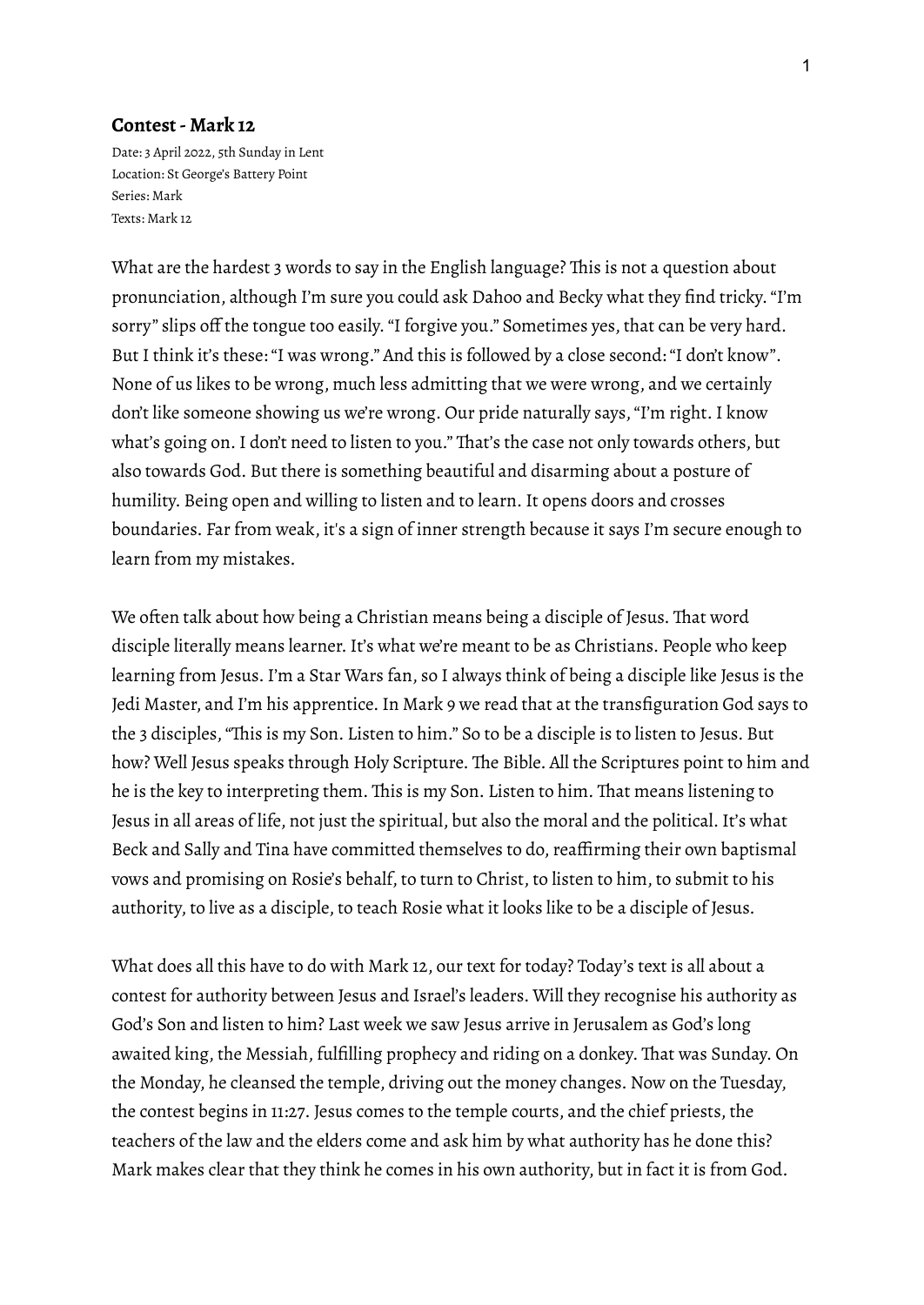## **Contest- Mark 12**

Date: 3 April 2022, 5th Sunday in Lent Location: St George's Battery Point Series: Mark Texts: Mark 12

What are the hardest 3 words to say in the English language? This is not a question about pronunciation, although I'm sure you could ask Dahoo and Becky what they find tricky."I'm sorry" slips off the tongue too easily."I forgive you." Sometimes yes, that can be very hard. But I think it's these: "I was wrong." And this is followed by a close second: "I don't know". None of us likes to be wrong, much less admitting that we were wrong, and we certainly don't like someone showing us we're wrong. Our pride naturally says, "I'm right. I know what's going on.I don't need to listen to you." That's the case not only towards others, but also towards God. But there is something beautiful and disarming about a posture of humility. Being open and willing to listen and to learn. It opens doors and crosses boundaries. Far from weak, it's a sign of inner strength because it says I'm secure enough to learn from my mistakes.

We often talk about how being a Christian means being a disciple of Jesus. That word disciple literally means learner.It's what we're meant to be as Christians. People who keep learning from Jesus.I'm a Star Wars fan, so I always think of being a disciple like Jesus is the Jedi Master, and I'm his apprentice. In Mark 9 we read that at the transfiguration God says to the 3 disciples,"This is my Son. Listen to him." So to be a disciple is to listen to Jesus. But how? Well Jesus speaks through Holy Scripture. The Bible. All the Scriptures point to him and he is the key to interpreting them. This is my Son. Listen to him. That means listening to Jesus in all areas of life, not just the spiritual, but also the moral and the political. It's what Beck and Sally and Tina have committed themselves to do, reaffirming their own baptismal vows and promising on Rosie's behalf, to turn to Christ, to listen to him, to submit to his authority, to live as a disciple, to teach Rosie what it looks like to be a disciple of Jesus.

What does all this have to do with Mark 12, our text for today? Today's text is all about a contest for authority between Jesus and Israel's leaders. Will they recognise his authority as God's Son and listen to him? Last week we saw Jesus arrive in Jerusalem as God's long awaited king, the Messiah, fulfilling prophecy and riding on a donkey. That was Sunday. On the Monday, he cleansed the temple, driving out the money changes. Now on the Tuesday, the contest begins in 11:27. Jesus comes to the temple courts, and the chief priests, the teachers of the law and the elders come and ask him by what authority has he done this? Mark makes clear that they think he comes in his own authority, but in fact it is from God.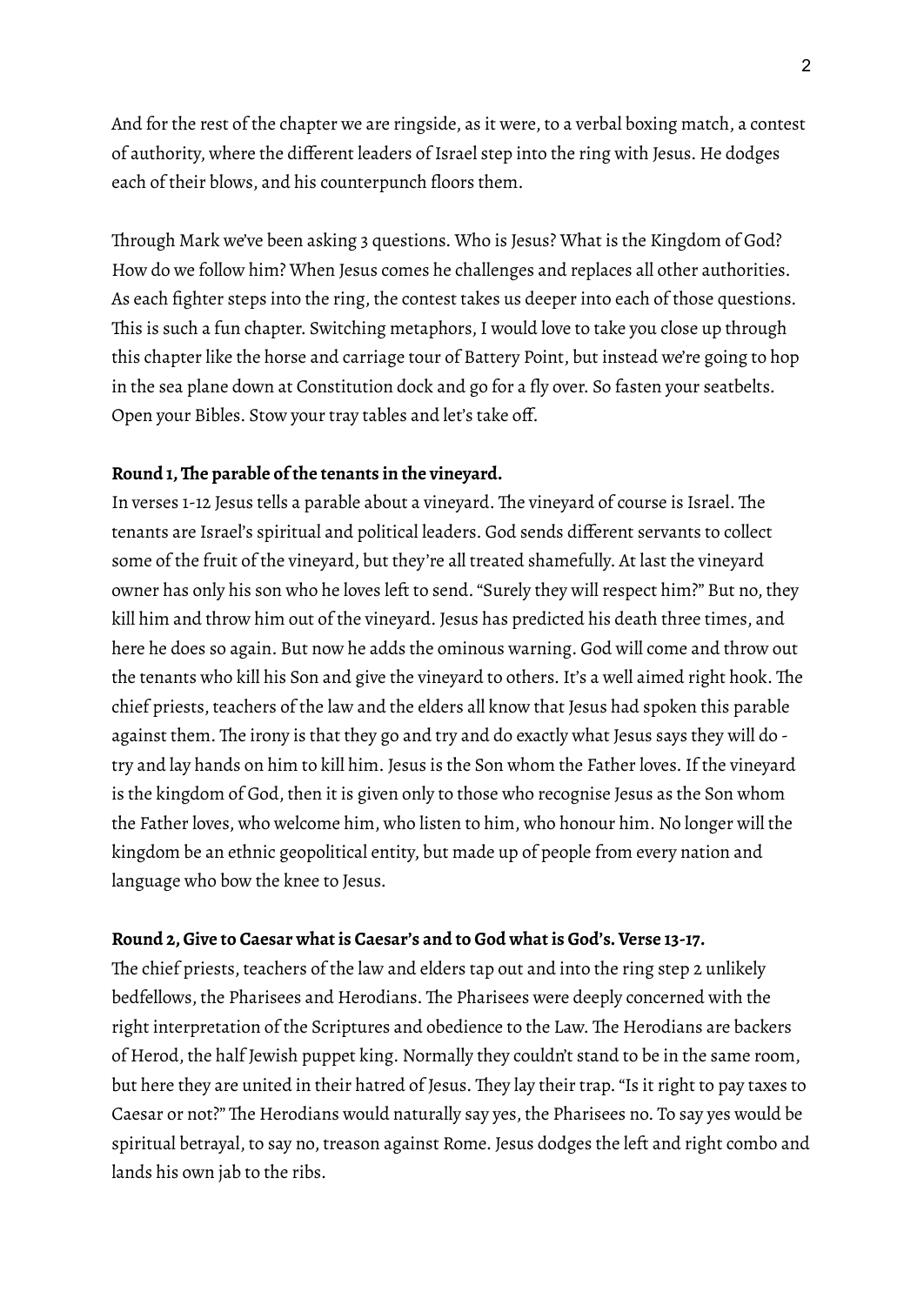And for the rest of the chapter we are ringside, as it were, to a verbal boxing match, a contest of authority, where the different leaders of Israel step into the ring with Jesus. He dodges each of their blows, and his counterpunch floors them.

Through Mark we've been asking 3 questions. Who is Jesus? What is the Kingdom of God? How do we follow him? When Jesus comes he challenges and replaces all other authorities. As each fighter steps into the ring, the contest takes us deeper into each of those questions. This is such a fun chapter. Switching metaphors,I would love to take you close up through this chapter like the horse and carriage tour of Battery Point, but instead we're going to hop in the sea plane down at Constitution dock and go for a fly over. So fasten your seatbelts. Open your Bibles. Stow your tray tables and let's take off.

## **Round 1,The parable of the tenants in the vineyard.**

In verses 1-12 Jesus tells a parable about a vineyard. The vineyard of course is Israel. The tenants are Israel's spiritual and political leaders. God sends different servants to collect some of the fruit of the vineyard, but they're all treated shamefully. At last the vineyard owner has only his son who he loves left to send."Surely they will respect him?" But no, they kill him and throw him out of the vineyard. Jesus has predicted his death three times, and here he does so again. But now he adds the ominous warning. God will come and throw out the tenants who kill his Son and give the vineyard to others.It's a well aimed right hook. The chief priests, teachers of the law and the elders all know that Jesus had spoken this parable against them. The irony is that they go and try and do exactly what Jesus says they will do try and lay hands on him to kill him. Jesus is the Son whom the Father loves.If the vineyard is the kingdom of God, then it is given only to those who recognise Jesus as the Son whom the Father loves, who welcome him, who listen to him, who honour him. No longer will the kingdom be an ethnic geopolitical entity, but made up of people from every nation and language who bow the knee to Jesus.

#### **Round 2,Give to Caesar what is Caesar's and to God what is God's.Verse 13-17.**

The chief priests, teachers of the law and elders tap out and into the ring step 2 unlikely bedfellows, the Pharisees and Herodians. The Pharisees were deeply concerned with the right interpretation of the Scriptures and obedience to the Law. The Herodians are backers of Herod, the half Jewish puppet king. Normally they couldn't stand to be in the same room, but here they are united in their hatred of Jesus. They lay their trap."Is it right to pay taxes to Caesar or not?" The Herodians would naturally say yes, the Pharisees no. To say yes would be spiritual betrayal, to say no, treason against Rome. Jesus dodges the left and right combo and lands his own jab to the ribs.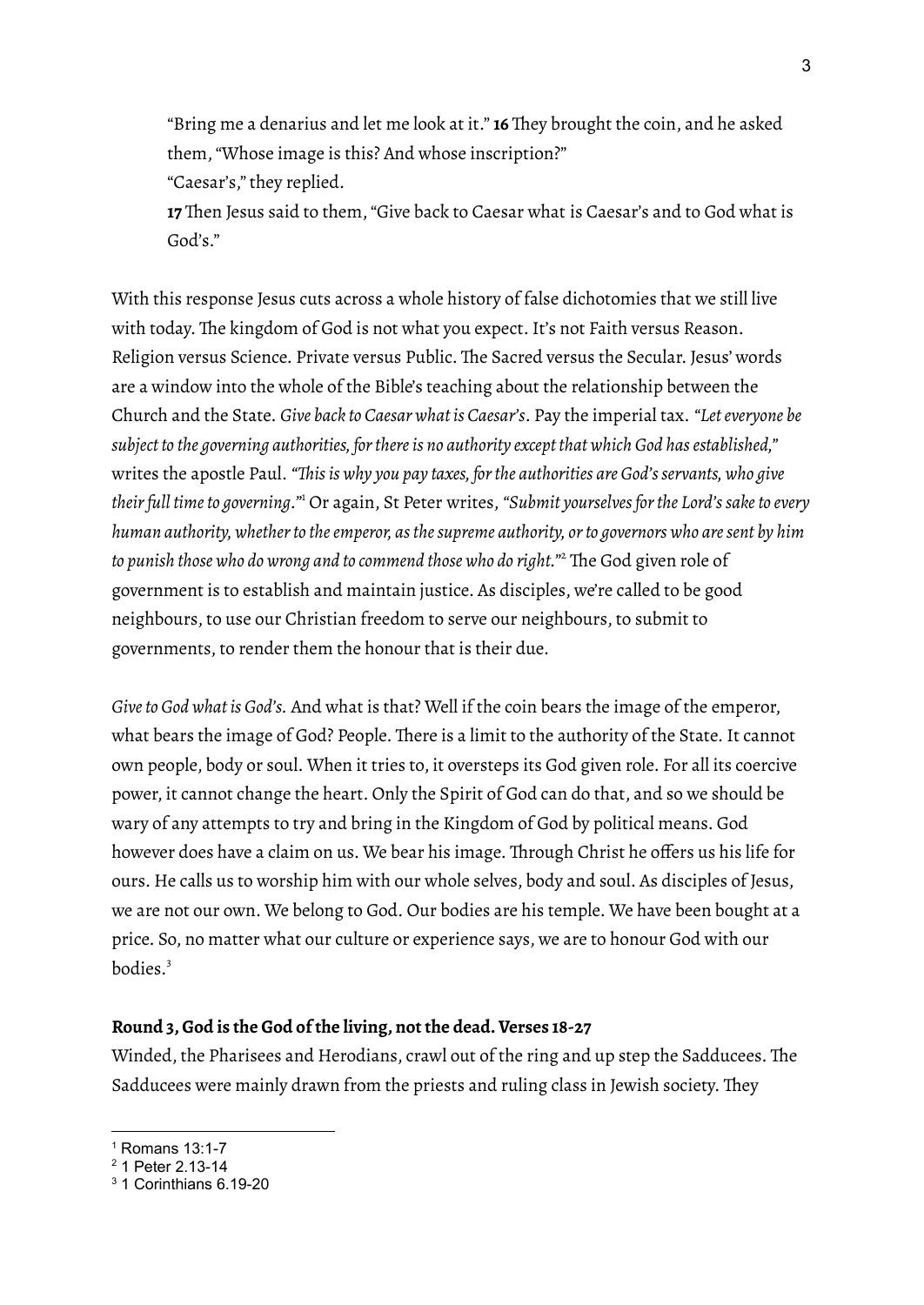"Bring me a denarius and let me look at it." **16** They brought the coin, and he asked them,"Whose image is this? And whose inscription?" "Caesar's," they replied.

**17** Then Jesus said to them,"Give back to Caesar what is Caesar's and to God what is God's."

With this response Jesus cuts across a whole history of false dichotomies that we still live with today. The kingdom of God is not what you expect. It's not Faith versus Reason. Religion versus Science. Private versus Public. The Sacred versus the Secular. Jesus' words are a window into the whole of the Bible's teaching about the relationship between the Church and the State. *Give back to Caesar what is Caesar's*. Pay the imperial tax. *"Leteveryone be subject to the governing authorities, forthereis no authority except that which God hasestablished,"* writes the apostle Paul. *"Thisis why you pay taxes, forthe authorities are God'sservants, who give theirfull timeto governing."* <sup>1</sup> Or again, St Peter writes, *"Submit yourselvesforthe Lord'ssaketo every human authority, whetherto theemperor, asthesupreme authority, orto governors who aresent by him to punish those who do wrong and to commend those who do right."* <sup>2</sup> The God given role of government is to establish and maintain justice. As disciples, we're called to be good neighbours, to use our Christian freedom to serve our neighbours, to submit to governments, to render them the honour that is their due.

*Giveto God what is God's.* And what is that? Well if the coin bears the image of the emperor, what bears the image of God? People. There is a limit to the authority of the State. It cannot own people, body or soul. When it tries to, it oversteps its God given role. For all its coercive power, it cannot change the heart. Only the Spirit of God can do that, and so we should be wary of any attempts to try and bring in the Kingdom of God by political means. God however does have a claim on us. We bear his image. Through Christ he offers us his life for ours. He calls us to worship him with our whole selves, body and soul. As disciples of Jesus, we are not our own. We belong to God. Our bodies are his temple. We have been bought at a price. So, no matter what our culture or experience says, we are to honour God with our bodies. 3

## **Round 3,God is the God of the living, not the dead.Verses 18-27**

Winded, the Pharisees and Herodians, crawl out of the ring and up step the Sadducees. The Sadducees were mainly drawn from the priests and ruling class in Jewish society. They

 $<sup>1</sup>$  Romans 13:1-7</sup>

<sup>2</sup> 1 Peter 2.13-14

<sup>3</sup> 1 Corinthians 6.19-20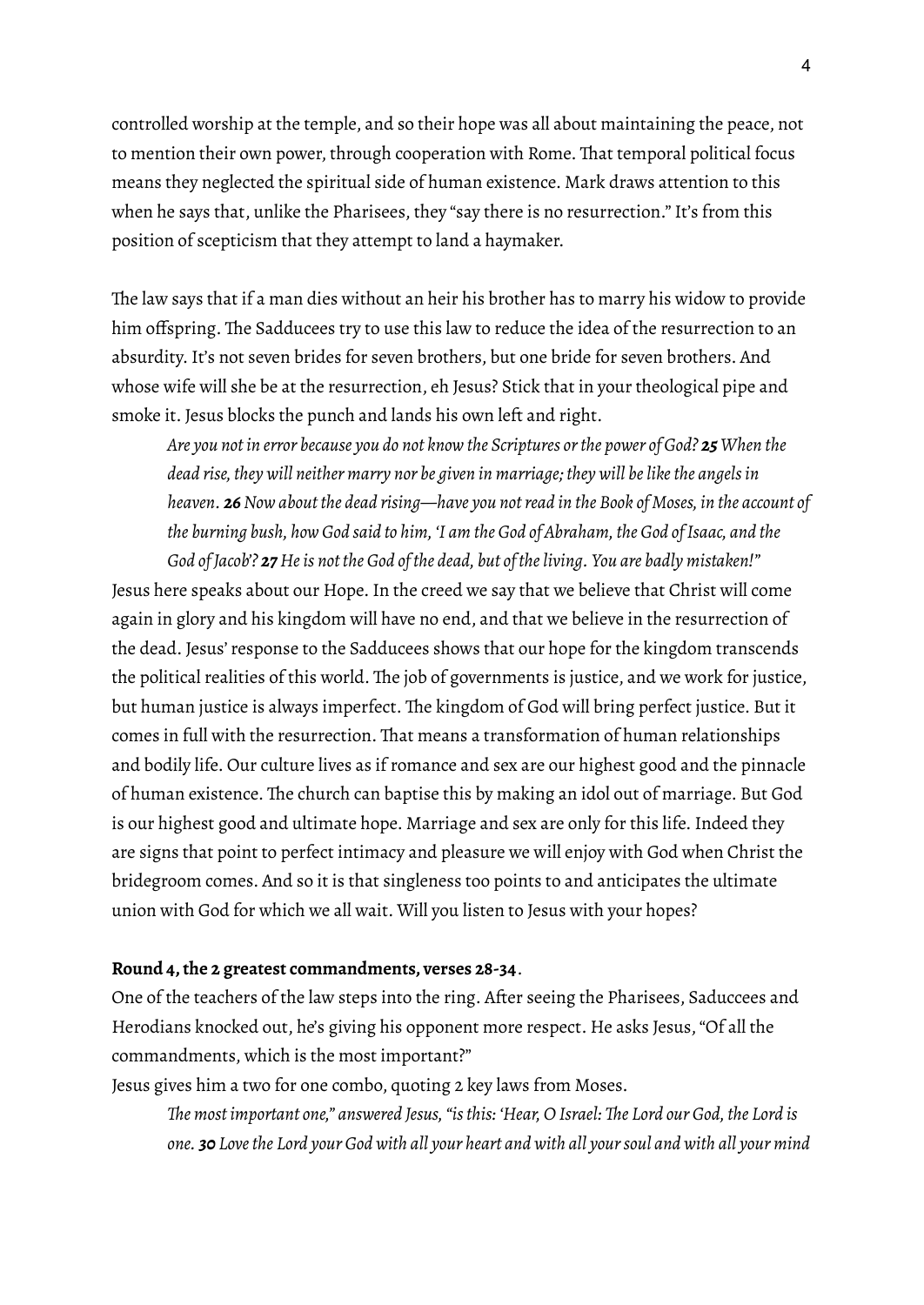controlled worship at the temple, and so their hope was all about maintaining the peace, not to mention their own power, through cooperation with Rome. That temporal political focus means they neglected the spiritual side of human existence. Mark draws attention to this when he says that, unlike the Pharisees, they "say there is no resurrection." It's from this position of scepticism that they attempt to land a haymaker.

The law says that if a man dies without an heir his brother has to marry his widow to provide him offspring. The Sadducees try to use this law to reduce the idea of the resurrection to an absurdity. It's not seven brides for seven brothers, but one bride for seven brothers. And whose wife will she be at the resurrection, eh Jesus? Stick that in your theological pipe and smoke it. Jesus blocks the punch and lands his own left and right.

*Are you not in error because you do not know the Scriptures orthe power of God? 25 When the dead rise, they will neither marry nor be given in marriage; they will belikethe angelsin heaven. 26Now about the dead rising—have you notread in the Book of Moses, in the account of the burning bush, how God said to him, 'I am the God of Abraham, the God ofIsaac, and the*

*God of Jacob'? 27 Heis not the God of the dead, but of theliving. You are badly mistaken!"* Jesus here speaks about our Hope. In the creed we say that we believe that Christ will come again in glory and his kingdom will have no end, and that we believe in the resurrection of the dead. Jesus'response to the Sadducees shows that our hope for the kingdom transcends the political realities of this world. The job of governments is justice, and we work for justice, but human justice is always imperfect. The kingdom of God will bring perfect justice. But it comes in full with the resurrection. That means a transformation of human relationships and bodily life. Our culture lives as if romance and sex are our highest good and the pinnacle of human existence. The church can baptise this by making an idol out of marriage. But God is our highest good and ultimate hope. Marriage and sex are only for this life. Indeed they are signs that point to perfect intimacy and pleasure we will enjoy with God when Christ the bridegroom comes. And so it is that singleness too points to and anticipates the ultimate union with God for which we all wait. Will you listen to Jesus with your hopes?

## **Round 4,the 2 greatest commandments, verses 28-34**.

One of the teachers of the law steps into the ring. After seeing the Pharisees, Saduccees and Herodians knocked out, he's giving his opponent more respect. He asks Jesus,"Of all the commandments, which is the most important?"

Jesus gives him a two for one combo, quoting 2 key laws from Moses.

*The most important one," answered Jesus,"isthis: 'Hear, O Israel: The Lord our God, the Lord is* one. 30 Love the Lord your God with all your heart and with all your soul and with all your mind